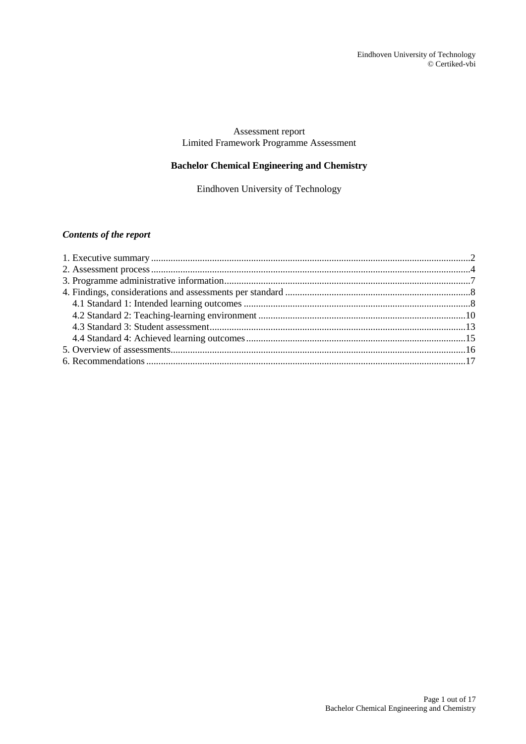## Assessment report Limited Framework Programme Assessment

## **Bachelor Chemical Engineering and Chemistry**

Eindhoven University of Technology

## *Contents of the report*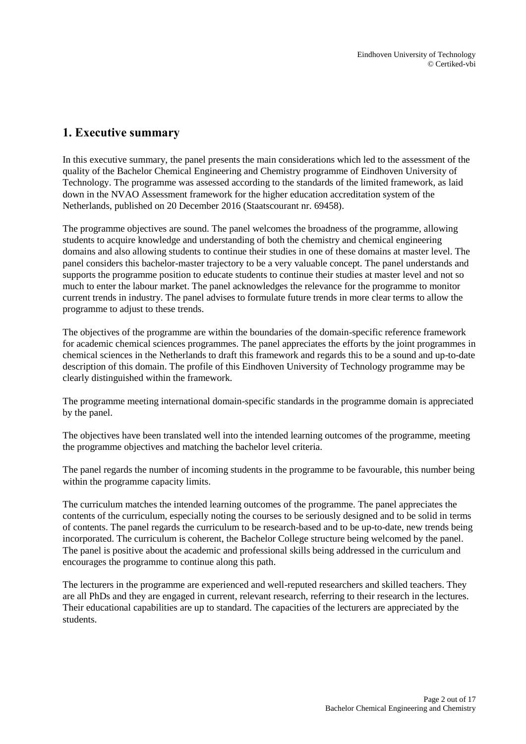## <span id="page-1-0"></span>**1. Executive summary**

In this executive summary, the panel presents the main considerations which led to the assessment of the quality of the Bachelor Chemical Engineering and Chemistry programme of Eindhoven University of Technology. The programme was assessed according to the standards of the limited framework, as laid down in the NVAO Assessment framework for the higher education accreditation system of the Netherlands, published on 20 December 2016 (Staatscourant nr. 69458).

The programme objectives are sound. The panel welcomes the broadness of the programme, allowing students to acquire knowledge and understanding of both the chemistry and chemical engineering domains and also allowing students to continue their studies in one of these domains at master level. The panel considers this bachelor-master trajectory to be a very valuable concept. The panel understands and supports the programme position to educate students to continue their studies at master level and not so much to enter the labour market. The panel acknowledges the relevance for the programme to monitor current trends in industry. The panel advises to formulate future trends in more clear terms to allow the programme to adjust to these trends.

The objectives of the programme are within the boundaries of the domain-specific reference framework for academic chemical sciences programmes. The panel appreciates the efforts by the joint programmes in chemical sciences in the Netherlands to draft this framework and regards this to be a sound and up-to-date description of this domain. The profile of this Eindhoven University of Technology programme may be clearly distinguished within the framework.

The programme meeting international domain-specific standards in the programme domain is appreciated by the panel.

The objectives have been translated well into the intended learning outcomes of the programme, meeting the programme objectives and matching the bachelor level criteria.

The panel regards the number of incoming students in the programme to be favourable, this number being within the programme capacity limits.

The curriculum matches the intended learning outcomes of the programme. The panel appreciates the contents of the curriculum, especially noting the courses to be seriously designed and to be solid in terms of contents. The panel regards the curriculum to be research-based and to be up-to-date, new trends being incorporated. The curriculum is coherent, the Bachelor College structure being welcomed by the panel. The panel is positive about the academic and professional skills being addressed in the curriculum and encourages the programme to continue along this path.

The lecturers in the programme are experienced and well-reputed researchers and skilled teachers. They are all PhDs and they are engaged in current, relevant research, referring to their research in the lectures. Their educational capabilities are up to standard. The capacities of the lecturers are appreciated by the students.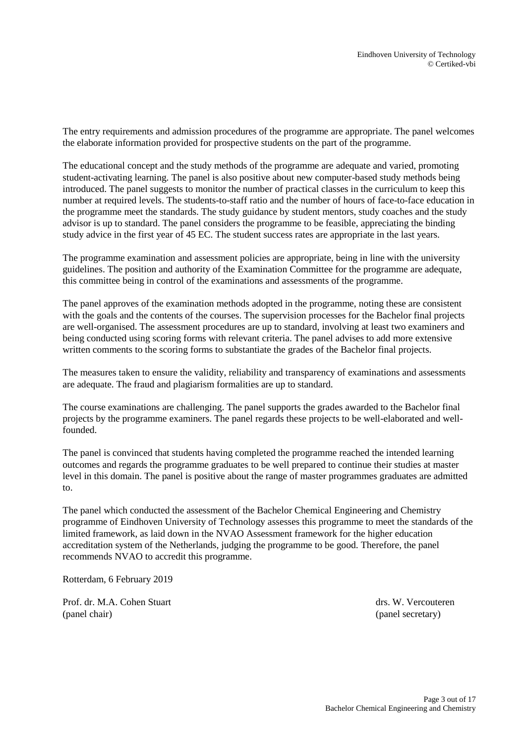The entry requirements and admission procedures of the programme are appropriate. The panel welcomes the elaborate information provided for prospective students on the part of the programme.

The educational concept and the study methods of the programme are adequate and varied, promoting student-activating learning. The panel is also positive about new computer-based study methods being introduced. The panel suggests to monitor the number of practical classes in the curriculum to keep this number at required levels. The students-to-staff ratio and the number of hours of face-to-face education in the programme meet the standards. The study guidance by student mentors, study coaches and the study advisor is up to standard. The panel considers the programme to be feasible, appreciating the binding study advice in the first year of 45 EC. The student success rates are appropriate in the last years.

The programme examination and assessment policies are appropriate, being in line with the university guidelines. The position and authority of the Examination Committee for the programme are adequate, this committee being in control of the examinations and assessments of the programme.

The panel approves of the examination methods adopted in the programme, noting these are consistent with the goals and the contents of the courses. The supervision processes for the Bachelor final projects are well-organised. The assessment procedures are up to standard, involving at least two examiners and being conducted using scoring forms with relevant criteria. The panel advises to add more extensive written comments to the scoring forms to substantiate the grades of the Bachelor final projects.

The measures taken to ensure the validity, reliability and transparency of examinations and assessments are adequate. The fraud and plagiarism formalities are up to standard.

The course examinations are challenging. The panel supports the grades awarded to the Bachelor final projects by the programme examiners. The panel regards these projects to be well-elaborated and wellfounded.

The panel is convinced that students having completed the programme reached the intended learning outcomes and regards the programme graduates to be well prepared to continue their studies at master level in this domain. The panel is positive about the range of master programmes graduates are admitted to.

The panel which conducted the assessment of the Bachelor Chemical Engineering and Chemistry programme of Eindhoven University of Technology assesses this programme to meet the standards of the limited framework, as laid down in the NVAO Assessment framework for the higher education accreditation system of the Netherlands, judging the programme to be good. Therefore, the panel recommends NVAO to accredit this programme.

Rotterdam, 6 February 2019

Prof. dr. M.A. Cohen Stuart drs. W. Vercouteren (panel chair) (panel secretary)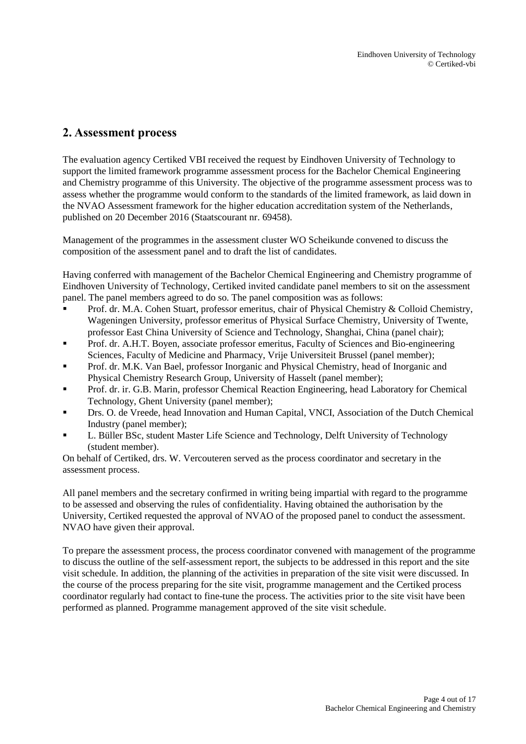## <span id="page-3-0"></span>**2. Assessment process**

The evaluation agency Certiked VBI received the request by Eindhoven University of Technology to support the limited framework programme assessment process for the Bachelor Chemical Engineering and Chemistry programme of this University. The objective of the programme assessment process was to assess whether the programme would conform to the standards of the limited framework, as laid down in the NVAO Assessment framework for the higher education accreditation system of the Netherlands, published on 20 December 2016 (Staatscourant nr. 69458).

Management of the programmes in the assessment cluster WO Scheikunde convened to discuss the composition of the assessment panel and to draft the list of candidates.

Having conferred with management of the Bachelor Chemical Engineering and Chemistry programme of Eindhoven University of Technology, Certiked invited candidate panel members to sit on the assessment panel. The panel members agreed to do so. The panel composition was as follows:

- Prof. dr. M.A. Cohen Stuart, professor emeritus, chair of Physical Chemistry & Colloid Chemistry, Wageningen University, professor emeritus of Physical Surface Chemistry, University of Twente, professor East China University of Science and Technology, Shanghai, China (panel chair);
- Prof. dr. A.H.T. Boyen, associate professor emeritus, Faculty of Sciences and Bio-engineering Sciences, Faculty of Medicine and Pharmacy, Vrije Universiteit Brussel (panel member);
- **•** Prof. dr. M.K. Van Bael, professor Inorganic and Physical Chemistry, head of Inorganic and Physical Chemistry Research Group, University of Hasselt (panel member);
- Prof. dr. ir. G.B. Marin, professor Chemical Reaction Engineering, head Laboratory for Chemical Technology, Ghent University (panel member);
- Drs. O. de Vreede, head Innovation and Human Capital, VNCI, Association of the Dutch Chemical Industry (panel member);
- L. Büller BSc, student Master Life Science and Technology, Delft University of Technology (student member).

On behalf of Certiked, drs. W. Vercouteren served as the process coordinator and secretary in the assessment process.

All panel members and the secretary confirmed in writing being impartial with regard to the programme to be assessed and observing the rules of confidentiality. Having obtained the authorisation by the University, Certiked requested the approval of NVAO of the proposed panel to conduct the assessment. NVAO have given their approval.

To prepare the assessment process, the process coordinator convened with management of the programme to discuss the outline of the self-assessment report, the subjects to be addressed in this report and the site visit schedule. In addition, the planning of the activities in preparation of the site visit were discussed. In the course of the process preparing for the site visit, programme management and the Certiked process coordinator regularly had contact to fine-tune the process. The activities prior to the site visit have been performed as planned. Programme management approved of the site visit schedule.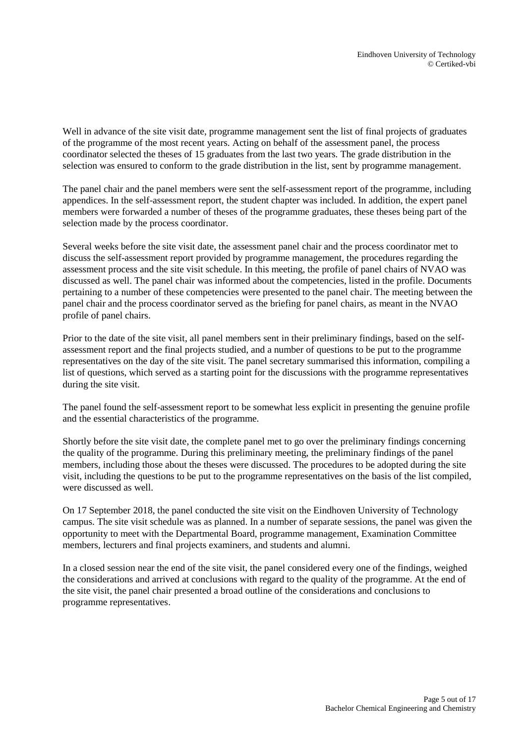Well in advance of the site visit date, programme management sent the list of final projects of graduates of the programme of the most recent years. Acting on behalf of the assessment panel, the process coordinator selected the theses of 15 graduates from the last two years. The grade distribution in the selection was ensured to conform to the grade distribution in the list, sent by programme management.

The panel chair and the panel members were sent the self-assessment report of the programme, including appendices. In the self-assessment report, the student chapter was included. In addition, the expert panel members were forwarded a number of theses of the programme graduates, these theses being part of the selection made by the process coordinator.

Several weeks before the site visit date, the assessment panel chair and the process coordinator met to discuss the self-assessment report provided by programme management, the procedures regarding the assessment process and the site visit schedule. In this meeting, the profile of panel chairs of NVAO was discussed as well. The panel chair was informed about the competencies, listed in the profile. Documents pertaining to a number of these competencies were presented to the panel chair. The meeting between the panel chair and the process coordinator served as the briefing for panel chairs, as meant in the NVAO profile of panel chairs.

Prior to the date of the site visit, all panel members sent in their preliminary findings, based on the selfassessment report and the final projects studied, and a number of questions to be put to the programme representatives on the day of the site visit. The panel secretary summarised this information, compiling a list of questions, which served as a starting point for the discussions with the programme representatives during the site visit.

The panel found the self-assessment report to be somewhat less explicit in presenting the genuine profile and the essential characteristics of the programme.

Shortly before the site visit date, the complete panel met to go over the preliminary findings concerning the quality of the programme. During this preliminary meeting, the preliminary findings of the panel members, including those about the theses were discussed. The procedures to be adopted during the site visit, including the questions to be put to the programme representatives on the basis of the list compiled, were discussed as well.

On 17 September 2018, the panel conducted the site visit on the Eindhoven University of Technology campus. The site visit schedule was as planned. In a number of separate sessions, the panel was given the opportunity to meet with the Departmental Board, programme management, Examination Committee members, lecturers and final projects examiners, and students and alumni.

In a closed session near the end of the site visit, the panel considered every one of the findings, weighed the considerations and arrived at conclusions with regard to the quality of the programme. At the end of the site visit, the panel chair presented a broad outline of the considerations and conclusions to programme representatives.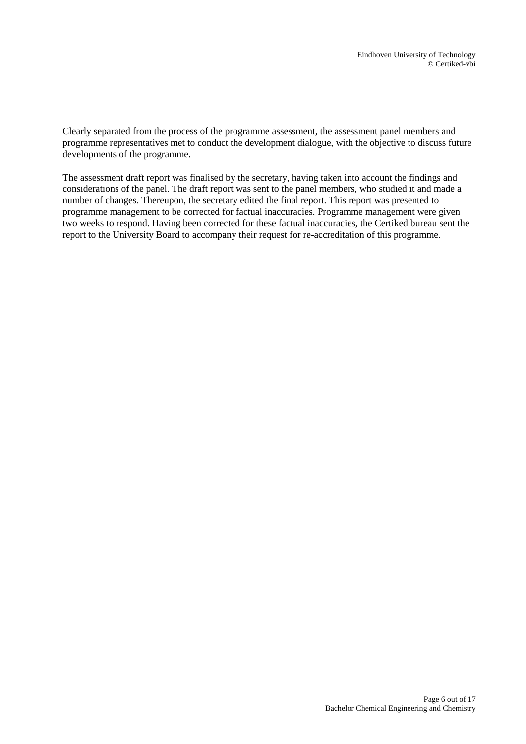Clearly separated from the process of the programme assessment, the assessment panel members and programme representatives met to conduct the development dialogue, with the objective to discuss future developments of the programme.

The assessment draft report was finalised by the secretary, having taken into account the findings and considerations of the panel. The draft report was sent to the panel members, who studied it and made a number of changes. Thereupon, the secretary edited the final report. This report was presented to programme management to be corrected for factual inaccuracies. Programme management were given two weeks to respond. Having been corrected for these factual inaccuracies, the Certiked bureau sent the report to the University Board to accompany their request for re-accreditation of this programme.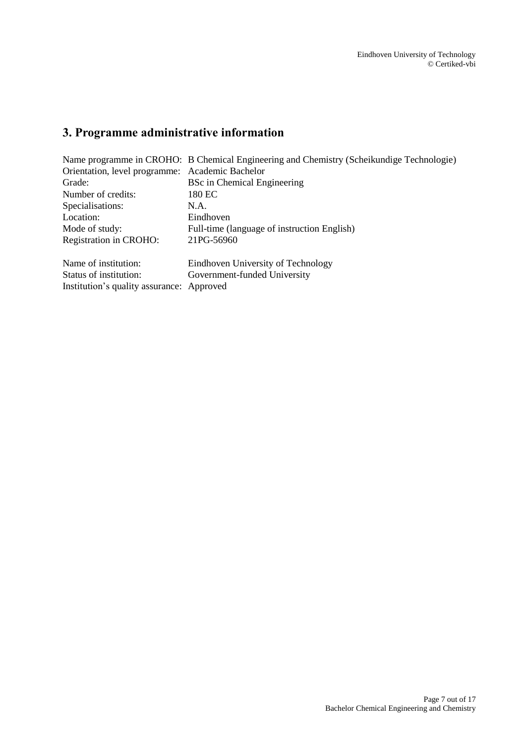# <span id="page-6-0"></span>**3. Programme administrative information**

|                                                 | Name programme in CROHO: B Chemical Engineering and Chemistry (Scheikundige Technologie) |  |  |
|-------------------------------------------------|------------------------------------------------------------------------------------------|--|--|
| Orientation, level programme: Academic Bachelor |                                                                                          |  |  |
| Grade:                                          | <b>BSc in Chemical Engineering</b>                                                       |  |  |
| Number of credits:                              | 180 EC                                                                                   |  |  |
| Specialisations:                                | N.A.                                                                                     |  |  |
| Location:                                       | Eindhoven                                                                                |  |  |
| Mode of study:                                  | Full-time (language of instruction English)                                              |  |  |
| Registration in CROHO:                          | 21PG-56960                                                                               |  |  |
|                                                 |                                                                                          |  |  |
| Name of institution:                            | Eindhoven University of Technology                                                       |  |  |
| Status of institution:                          | Government-funded University                                                             |  |  |
| Institution's quality assurance: Approved       |                                                                                          |  |  |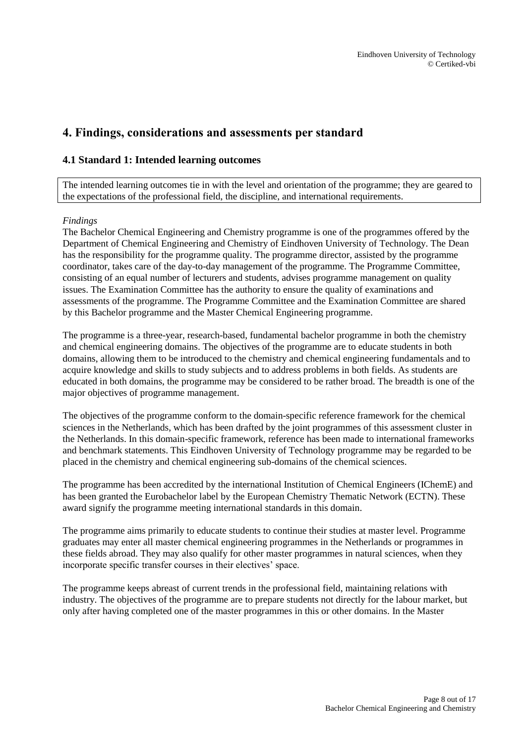## <span id="page-7-0"></span>**4. Findings, considerations and assessments per standard**

## <span id="page-7-1"></span>**4.1 Standard 1: Intended learning outcomes**

The intended learning outcomes tie in with the level and orientation of the programme; they are geared to the expectations of the professional field, the discipline, and international requirements.

## *Findings*

The Bachelor Chemical Engineering and Chemistry programme is one of the programmes offered by the Department of Chemical Engineering and Chemistry of Eindhoven University of Technology. The Dean has the responsibility for the programme quality. The programme director, assisted by the programme coordinator, takes care of the day-to-day management of the programme. The Programme Committee, consisting of an equal number of lecturers and students, advises programme management on quality issues. The Examination Committee has the authority to ensure the quality of examinations and assessments of the programme. The Programme Committee and the Examination Committee are shared by this Bachelor programme and the Master Chemical Engineering programme.

The programme is a three-year, research-based, fundamental bachelor programme in both the chemistry and chemical engineering domains. The objectives of the programme are to educate students in both domains, allowing them to be introduced to the chemistry and chemical engineering fundamentals and to acquire knowledge and skills to study subjects and to address problems in both fields. As students are educated in both domains, the programme may be considered to be rather broad. The breadth is one of the major objectives of programme management.

The objectives of the programme conform to the domain-specific reference framework for the chemical sciences in the Netherlands, which has been drafted by the joint programmes of this assessment cluster in the Netherlands. In this domain-specific framework, reference has been made to international frameworks and benchmark statements. This Eindhoven University of Technology programme may be regarded to be placed in the chemistry and chemical engineering sub-domains of the chemical sciences.

The programme has been accredited by the international Institution of Chemical Engineers (IChemE) and has been granted the Eurobachelor label by the European Chemistry Thematic Network (ECTN). These award signify the programme meeting international standards in this domain.

The programme aims primarily to educate students to continue their studies at master level. Programme graduates may enter all master chemical engineering programmes in the Netherlands or programmes in these fields abroad. They may also qualify for other master programmes in natural sciences, when they incorporate specific transfer courses in their electives' space.

The programme keeps abreast of current trends in the professional field, maintaining relations with industry. The objectives of the programme are to prepare students not directly for the labour market, but only after having completed one of the master programmes in this or other domains. In the Master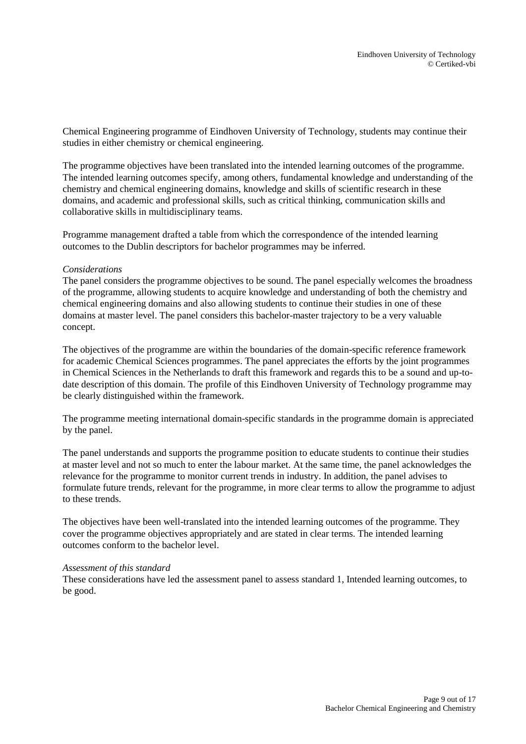Chemical Engineering programme of Eindhoven University of Technology, students may continue their studies in either chemistry or chemical engineering.

The programme objectives have been translated into the intended learning outcomes of the programme. The intended learning outcomes specify, among others, fundamental knowledge and understanding of the chemistry and chemical engineering domains, knowledge and skills of scientific research in these domains, and academic and professional skills, such as critical thinking, communication skills and collaborative skills in multidisciplinary teams.

Programme management drafted a table from which the correspondence of the intended learning outcomes to the Dublin descriptors for bachelor programmes may be inferred.

### *Considerations*

The panel considers the programme objectives to be sound. The panel especially welcomes the broadness of the programme, allowing students to acquire knowledge and understanding of both the chemistry and chemical engineering domains and also allowing students to continue their studies in one of these domains at master level. The panel considers this bachelor-master trajectory to be a very valuable concept.

The objectives of the programme are within the boundaries of the domain-specific reference framework for academic Chemical Sciences programmes. The panel appreciates the efforts by the joint programmes in Chemical Sciences in the Netherlands to draft this framework and regards this to be a sound and up-todate description of this domain. The profile of this Eindhoven University of Technology programme may be clearly distinguished within the framework.

The programme meeting international domain-specific standards in the programme domain is appreciated by the panel.

The panel understands and supports the programme position to educate students to continue their studies at master level and not so much to enter the labour market. At the same time, the panel acknowledges the relevance for the programme to monitor current trends in industry. In addition, the panel advises to formulate future trends, relevant for the programme, in more clear terms to allow the programme to adjust to these trends.

The objectives have been well-translated into the intended learning outcomes of the programme. They cover the programme objectives appropriately and are stated in clear terms. The intended learning outcomes conform to the bachelor level.

### *Assessment of this standard*

<span id="page-8-0"></span>These considerations have led the assessment panel to assess standard 1, Intended learning outcomes, to be good.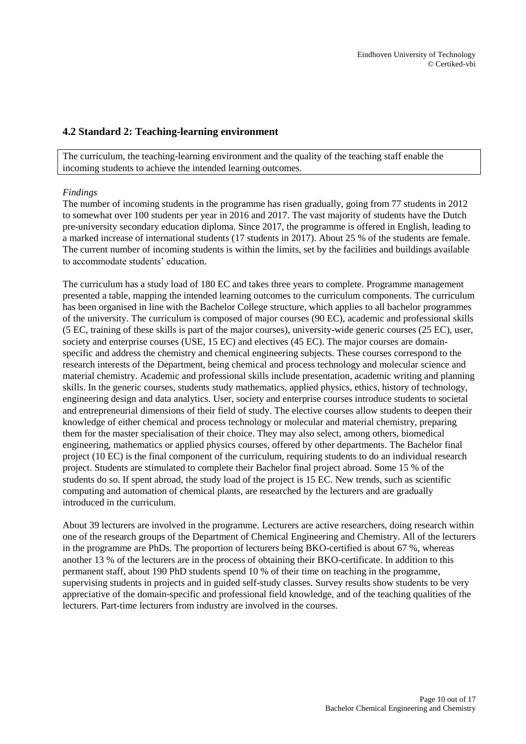## **4.2 Standard 2: Teaching-learning environment**

The curriculum, the teaching-learning environment and the quality of the teaching staff enable the incoming students to achieve the intended learning outcomes.

#### *Findings*

The number of incoming students in the programme has risen gradually, going from 77 students in 2012 to somewhat over 100 students per year in 2016 and 2017. The vast majority of students have the Dutch pre-university secondary education diploma. Since 2017, the programme is offered in English, leading to a marked increase of international students (17 students in 2017). About 25 % of the students are female. The current number of incoming students is within the limits, set by the facilities and buildings available to accommodate students' education.

The curriculum has a study load of 180 EC and takes three years to complete. Programme management presented a table, mapping the intended learning outcomes to the curriculum components. The curriculum has been organised in line with the Bachelor College structure, which applies to all bachelor programmes of the university. The curriculum is composed of major courses (90 EC), academic and professional skills (5 EC, training of these skills is part of the major courses), university-wide generic courses (25 EC), user, society and enterprise courses (USE, 15 EC) and electives (45 EC). The major courses are domainspecific and address the chemistry and chemical engineering subjects. These courses correspond to the research interests of the Department, being chemical and process technology and molecular science and material chemistry. Academic and professional skills include presentation, academic writing and planning skills. In the generic courses, students study mathematics, applied physics, ethics, history of technology, engineering design and data analytics. User, society and enterprise courses introduce students to societal and entrepreneurial dimensions of their field of study. The elective courses allow students to deepen their knowledge of either chemical and process technology or molecular and material chemistry, preparing them for the master specialisation of their choice. They may also select, among others, biomedical engineering, mathematics or applied physics courses, offered by other departments. The Bachelor final project (10 EC) is the final component of the curriculum, requiring students to do an individual research project. Students are stimulated to complete their Bachelor final project abroad. Some 15 % of the students do so. If spent abroad, the study load of the project is 15 EC. New trends, such as scientific computing and automation of chemical plants, are researched by the lecturers and are gradually introduced in the curriculum.

About 39 lecturers are involved in the programme. Lecturers are active researchers, doing research within one of the research groups of the Department of Chemical Engineering and Chemistry. All of the lecturers in the programme are PhDs. The proportion of lecturers being BKO-certified is about 67 %, whereas another 13 % of the lecturers are in the process of obtaining their BKO-certificate. In addition to this permanent staff, about 190 PhD students spend 10 % of their time on teaching in the programme, supervising students in projects and in guided self-study classes. Survey results show students to be very appreciative of the domain-specific and professional field knowledge, and of the teaching qualities of the lecturers. Part-time lecturers from industry are involved in the courses.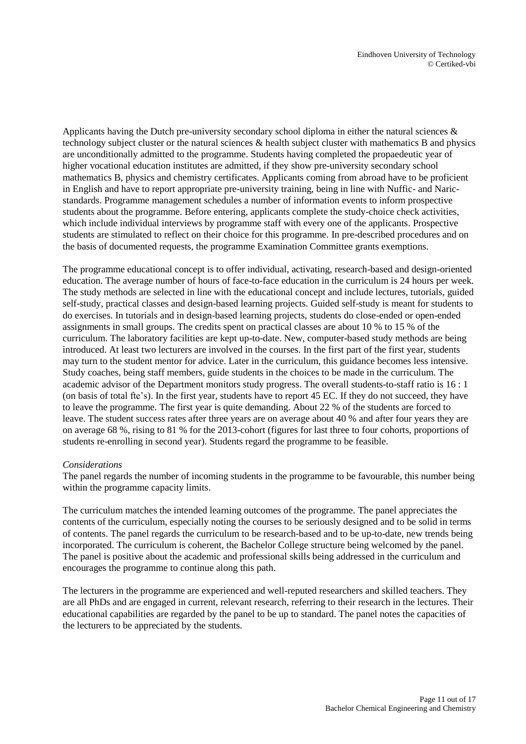Applicants having the Dutch pre-university secondary school diploma in either the natural sciences  $\&$ technology subject cluster or the natural sciences & health subject cluster with mathematics B and physics are unconditionally admitted to the programme. Students having completed the propaedeutic year of higher vocational education institutes are admitted, if they show pre-university secondary school mathematics B, physics and chemistry certificates. Applicants coming from abroad have to be proficient in English and have to report appropriate pre-university training, being in line with Nuffic- and Naricstandards. Programme management schedules a number of information events to inform prospective students about the programme. Before entering, applicants complete the study-choice check activities, which include individual interviews by programme staff with every one of the applicants. Prospective students are stimulated to reflect on their choice for this programme. In pre-described procedures and on the basis of documented requests, the programme Examination Committee grants exemptions.

The programme educational concept is to offer individual, activating, research-based and design-oriented education. The average number of hours of face-to-face education in the curriculum is 24 hours per week. The study methods are selected in line with the educational concept and include lectures, tutorials, guided self-study, practical classes and design-based learning projects. Guided self-study is meant for students to do exercises. In tutorials and in design-based learning projects, students do close-ended or open-ended assignments in small groups. The credits spent on practical classes are about 10 % to 15 % of the curriculum. The laboratory facilities are kept up-to-date. New, computer-based study methods are being introduced. At least two lecturers are involved in the courses. In the first part of the first year, students may turn to the student mentor for advice. Later in the curriculum, this guidance becomes less intensive. Study coaches, being staff members, guide students in the choices to be made in the curriculum. The academic advisor of the Department monitors study progress. The overall students-to-staff ratio is 16 : 1 (on basis of total fte's). In the first year, students have to report 45 EC. If they do not succeed, they have to leave the programme. The first year is quite demanding. About 22 % of the students are forced to leave. The student success rates after three years are on average about 40 % and after four years they are on average 68 %, rising to 81 % for the 2013-cohort (figures for last three to four cohorts, proportions of students re-enrolling in second year). Students regard the programme to be feasible.

### *Considerations*

The panel regards the number of incoming students in the programme to be favourable, this number being within the programme capacity limits.

The curriculum matches the intended learning outcomes of the programme. The panel appreciates the contents of the curriculum, especially noting the courses to be seriously designed and to be solid in terms of contents. The panel regards the curriculum to be research-based and to be up-to-date, new trends being incorporated. The curriculum is coherent, the Bachelor College structure being welcomed by the panel. The panel is positive about the academic and professional skills being addressed in the curriculum and encourages the programme to continue along this path.

The lecturers in the programme are experienced and well-reputed researchers and skilled teachers. They are all PhDs and are engaged in current, relevant research, referring to their research in the lectures. Their educational capabilities are regarded by the panel to be up to standard. The panel notes the capacities of the lecturers to be appreciated by the students.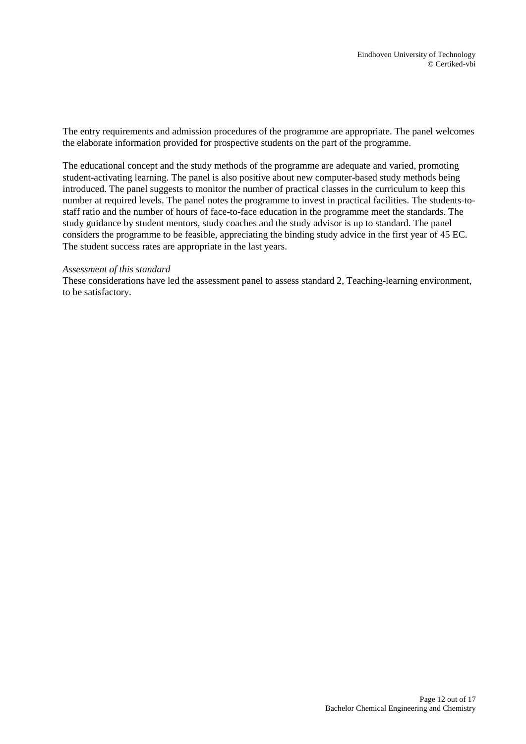The entry requirements and admission procedures of the programme are appropriate. The panel welcomes the elaborate information provided for prospective students on the part of the programme.

The educational concept and the study methods of the programme are adequate and varied, promoting student-activating learning. The panel is also positive about new computer-based study methods being introduced. The panel suggests to monitor the number of practical classes in the curriculum to keep this number at required levels. The panel notes the programme to invest in practical facilities. The students-tostaff ratio and the number of hours of face-to-face education in the programme meet the standards. The study guidance by student mentors, study coaches and the study advisor is up to standard. The panel considers the programme to be feasible, appreciating the binding study advice in the first year of 45 EC. The student success rates are appropriate in the last years.

#### *Assessment of this standard*

These considerations have led the assessment panel to assess standard 2, Teaching-learning environment, to be satisfactory.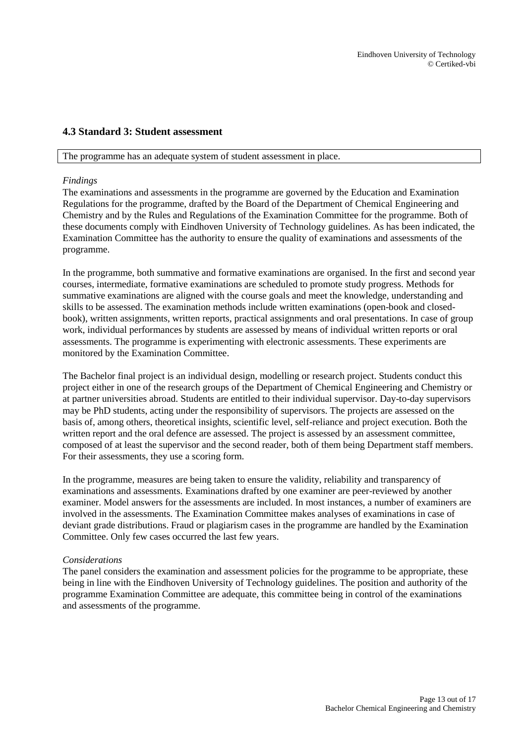## <span id="page-12-0"></span>**4.3 Standard 3: Student assessment**

#### The programme has an adequate system of student assessment in place.

#### *Findings*

The examinations and assessments in the programme are governed by the Education and Examination Regulations for the programme, drafted by the Board of the Department of Chemical Engineering and Chemistry and by the Rules and Regulations of the Examination Committee for the programme. Both of these documents comply with Eindhoven University of Technology guidelines. As has been indicated, the Examination Committee has the authority to ensure the quality of examinations and assessments of the programme.

In the programme, both summative and formative examinations are organised. In the first and second year courses, intermediate, formative examinations are scheduled to promote study progress. Methods for summative examinations are aligned with the course goals and meet the knowledge, understanding and skills to be assessed. The examination methods include written examinations (open-book and closedbook), written assignments, written reports, practical assignments and oral presentations. In case of group work, individual performances by students are assessed by means of individual written reports or oral assessments. The programme is experimenting with electronic assessments. These experiments are monitored by the Examination Committee.

The Bachelor final project is an individual design, modelling or research project. Students conduct this project either in one of the research groups of the Department of Chemical Engineering and Chemistry or at partner universities abroad. Students are entitled to their individual supervisor. Day-to-day supervisors may be PhD students, acting under the responsibility of supervisors. The projects are assessed on the basis of, among others, theoretical insights, scientific level, self-reliance and project execution. Both the written report and the oral defence are assessed. The project is assessed by an assessment committee, composed of at least the supervisor and the second reader, both of them being Department staff members. For their assessments, they use a scoring form.

In the programme, measures are being taken to ensure the validity, reliability and transparency of examinations and assessments. Examinations drafted by one examiner are peer-reviewed by another examiner. Model answers for the assessments are included. In most instances, a number of examiners are involved in the assessments. The Examination Committee makes analyses of examinations in case of deviant grade distributions. Fraud or plagiarism cases in the programme are handled by the Examination Committee. Only few cases occurred the last few years.

### *Considerations*

The panel considers the examination and assessment policies for the programme to be appropriate, these being in line with the Eindhoven University of Technology guidelines. The position and authority of the programme Examination Committee are adequate, this committee being in control of the examinations and assessments of the programme.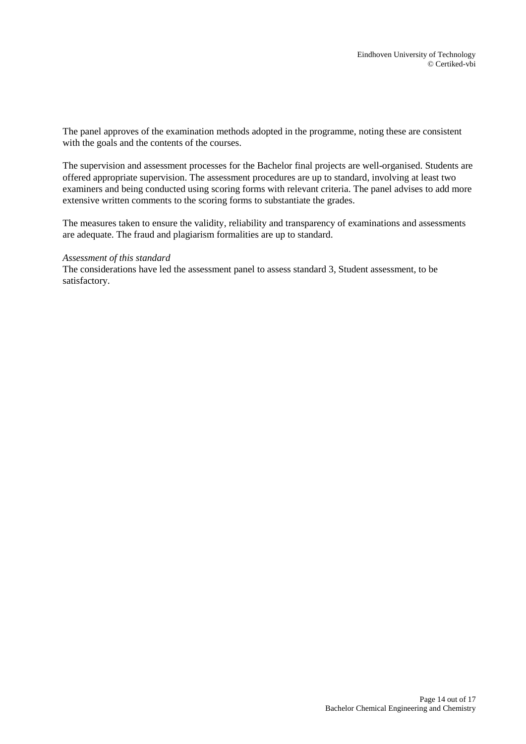The panel approves of the examination methods adopted in the programme, noting these are consistent with the goals and the contents of the courses.

The supervision and assessment processes for the Bachelor final projects are well-organised. Students are offered appropriate supervision. The assessment procedures are up to standard, involving at least two examiners and being conducted using scoring forms with relevant criteria. The panel advises to add more extensive written comments to the scoring forms to substantiate the grades.

The measures taken to ensure the validity, reliability and transparency of examinations and assessments are adequate. The fraud and plagiarism formalities are up to standard.

#### *Assessment of this standard*

The considerations have led the assessment panel to assess standard 3, Student assessment, to be satisfactory.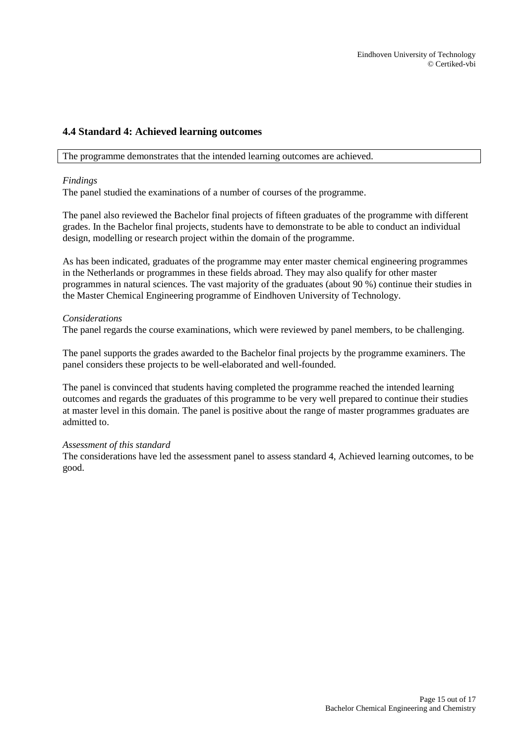## <span id="page-14-0"></span>**4.4 Standard 4: Achieved learning outcomes**

The programme demonstrates that the intended learning outcomes are achieved.

#### *Findings*

The panel studied the examinations of a number of courses of the programme.

The panel also reviewed the Bachelor final projects of fifteen graduates of the programme with different grades. In the Bachelor final projects, students have to demonstrate to be able to conduct an individual design, modelling or research project within the domain of the programme.

As has been indicated, graduates of the programme may enter master chemical engineering programmes in the Netherlands or programmes in these fields abroad. They may also qualify for other master programmes in natural sciences. The vast majority of the graduates (about 90 %) continue their studies in the Master Chemical Engineering programme of Eindhoven University of Technology.

### *Considerations*

The panel regards the course examinations, which were reviewed by panel members, to be challenging.

The panel supports the grades awarded to the Bachelor final projects by the programme examiners. The panel considers these projects to be well-elaborated and well-founded.

The panel is convinced that students having completed the programme reached the intended learning outcomes and regards the graduates of this programme to be very well prepared to continue their studies at master level in this domain. The panel is positive about the range of master programmes graduates are admitted to.

### *Assessment of this standard*

The considerations have led the assessment panel to assess standard 4, Achieved learning outcomes, to be good.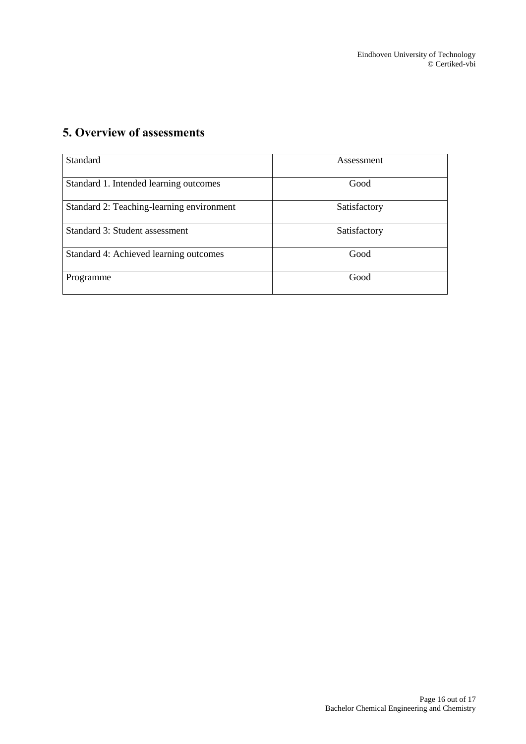# <span id="page-15-0"></span>**5. Overview of assessments**

| <b>Standard</b>                           | Assessment   |
|-------------------------------------------|--------------|
| Standard 1. Intended learning outcomes    | Good         |
| Standard 2: Teaching-learning environment | Satisfactory |
| Standard 3: Student assessment            | Satisfactory |
| Standard 4: Achieved learning outcomes    | Good         |
| Programme                                 | Good         |